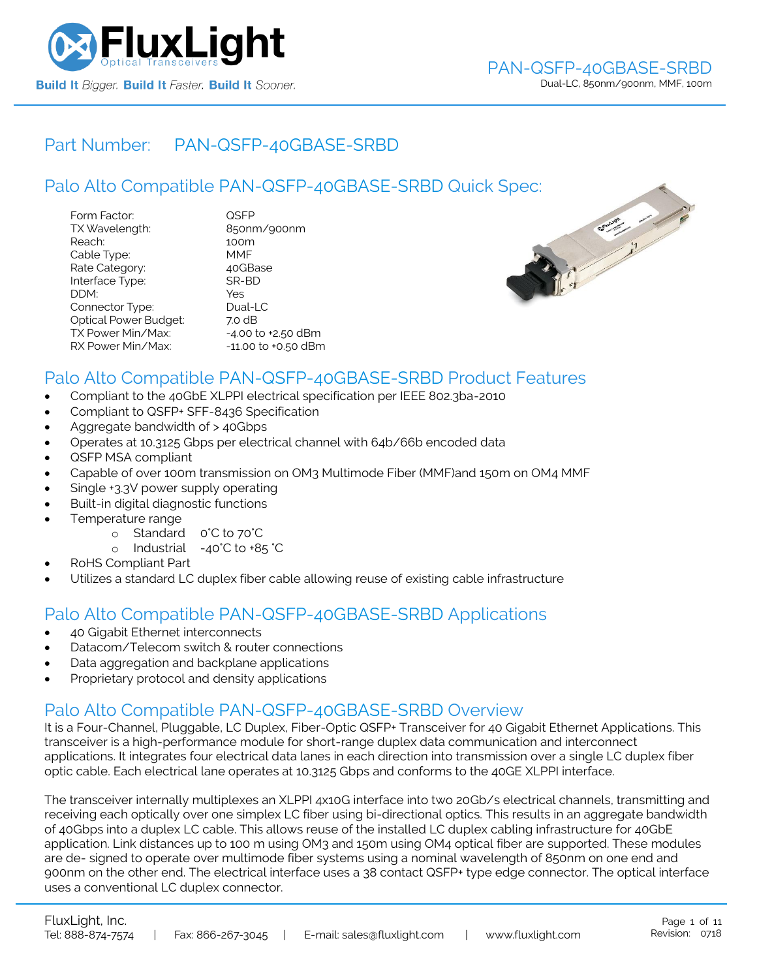

## Part Number: [PAN-QSFP-40GBASE-SRBD](https://www.fluxlight.com/PAN-QSFP-40GBASE-SRBD/)

|                                                                                                                                                                                            | Palo Alto Compatible PAN-QSFP-40GBASE-SRBD Quick Spec:                                                                                                |                |  |
|--------------------------------------------------------------------------------------------------------------------------------------------------------------------------------------------|-------------------------------------------------------------------------------------------------------------------------------------------------------|----------------|--|
| Form Factor:<br>TX Wavelength:<br>Reach:<br>Cable Type:<br>Rate Category:<br>Interface Type:<br>DDM:<br>Connector Type:<br>Optical Power Budget:<br>TX Power Min/Max:<br>RX Power Min/Max: | <b>QSFP</b><br>850nm/900nm<br>100m<br><b>MMF</b><br>40GBase<br>SR-BD<br>Yes<br>Dual-LC<br>7.0 dB<br>$-4.00$ to $+2.50$ dBm<br>$-11.00$ to $+0.50$ dBm | <b>SAULANT</b> |  |



## Palo Alto Compatible [PAN-QSFP-40GBASE-SRBD](https://www.fluxlight.com/PAN-QSFP-40GBASE-SRBD/) Product Features

- Compliant to the 40GbE XLPPI electrical specification per IEEE 802.3ba-2010
- Compliant to QSFP+ SFF-8436 Specification
- Aggregate bandwidth of > 40Gbps
- Operates at 10.3125 Gbps per electrical channel with 64b/66b encoded data
- QSFP MSA compliant
- Capable of over 100m transmission on OM3 Multimode Fiber (MMF)and 150m on OM4 MMF
- Single +3.3V power supply operating
- Built-in digital diagnostic functions
- Temperature range
	- o Standard 0°C to 70°C
	- o Industrial -40°C to +85 °C
- RoHS Compliant Part
- Utilizes a standard LC duplex fiber cable allowing reuse of existing cable infrastructure

## Palo Alto Compatible [PAN-QSFP-40GBASE-SRBD](https://www.fluxlight.com/PAN-QSFP-40GBASE-SRBD/) Applications

- 40 Gigabit Ethernet interconnects
- Datacom/Telecom switch & router connections
- Data aggregation and backplane applications
- Proprietary protocol and density applications

## Palo Alto Compatible [PAN-QSFP-40GBASE-SRBD](https://www.fluxlight.com/PAN-QSFP-40GBASE-SRBD/) Overview

It is a Four-Channel, Pluggable, LC Duplex, Fiber-Optic QSFP+ Transceiver for 40 Gigabit Ethernet Applications. This transceiver is a high-performance module for short-range duplex data communication and interconnect applications. It integrates four electrical data lanes in each direction into transmission over a single LC duplex fiber optic cable. Each electrical lane operates at 10.3125 Gbps and conforms to the 40GE XLPPI interface.

The transceiver internally multiplexes an XLPPI 4x10G interface into two 20Gb/s electrical channels, transmitting and receiving each optically over one simplex LC fiber using bi-directional optics. This results in an aggregate bandwidth of 40Gbps into a duplex LC cable. This allows reuse of the installed LC duplex cabling infrastructure for 40GbE application. Link distances up to 100 m using OM3 and 150m using OM4 optical fiber are supported. These modules are de- signed to operate over multimode fiber systems using a nominal wavelength of 850nm on one end and 900nm on the other end. The electrical interface uses a 38 contact QSFP+ type edge connector. The optical interface uses a conventional LC duplex connector.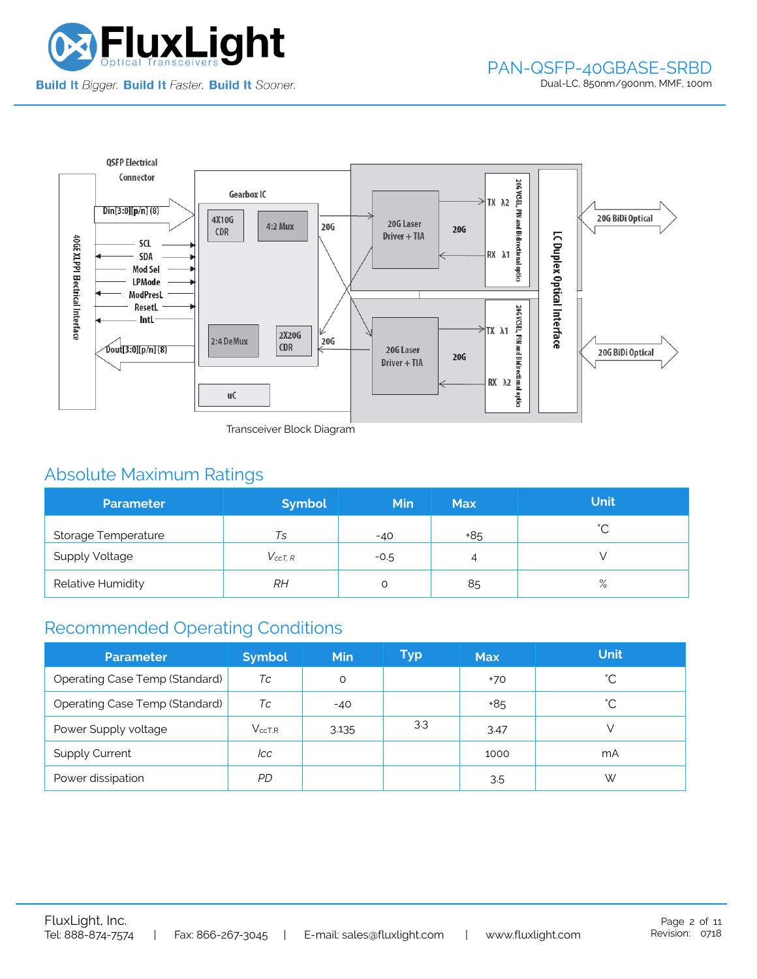



Transceiver Block Diagram

# Absolute Maximum Ratings

| <b>Parameter</b>           | <b>Symbol</b>  | <b>Min</b> | <b>Max</b> | <b>Unit</b> |
|----------------------------|----------------|------------|------------|-------------|
| <b>Storage Temperature</b> | Ts             | $-40$      | +85        | $\hat{ }$   |
| <b>Supply Voltage</b>      | $V_{c c T. R}$ | $-0.5$     | 4          |             |
| Relative Humidity          | RΗ             |            | 85         | $\%$        |

## Recommended Operating Conditions

| <b>Parameter</b>               | <b>Symbol</b> | <b>Min</b> | Typ | <b>Max</b> | <b>Unit</b> |
|--------------------------------|---------------|------------|-----|------------|-------------|
| Operating Case Temp (Standard) | Тc            | O          |     | $+70$      | °С          |
| Operating Case Temp (Standard) | Тc            | $-40$      |     | +85        | °С          |
| Power Supply voltage           | $V_{ccT.R}$   | 3.135      | 3.3 | 3.47       |             |
| <b>Supply Current</b>          | lcc           |            |     | 1000       | mA          |
| Power dissipation              | PD            |            |     | 3.5        | W           |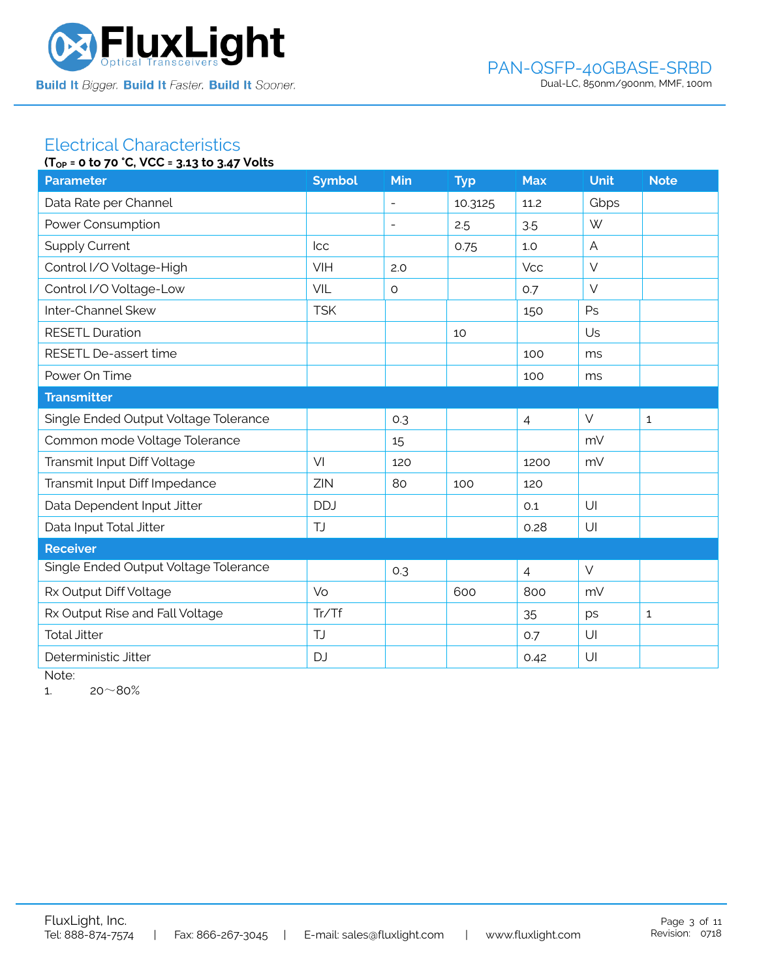

### Electrical Characteristics **(TOP = 0 to 70 °C, VCC = 3.13 to 3.47 Volts**

|                                       | $10P = 0$ to $70$ c, $0C = 3.13$ to $3.47$ votts |                          |            |                |             |              |  |  |
|---------------------------------------|--------------------------------------------------|--------------------------|------------|----------------|-------------|--------------|--|--|
| <b>Parameter</b>                      | <b>Symbol</b>                                    | Min                      | <b>Typ</b> | <b>Max</b>     | <b>Unit</b> | <b>Note</b>  |  |  |
| Data Rate per Channel                 |                                                  |                          | 10.3125    | 11.2           | Gbps        |              |  |  |
| Power Consumption                     |                                                  | $\overline{\phantom{a}}$ | 2.5        | 3.5            | W           |              |  |  |
| <b>Supply Current</b>                 | <b>Icc</b>                                       |                          | 0.75       | 1.0            | A           |              |  |  |
| Control I/O Voltage-High              | VIH                                              | 2.0                      |            | <b>Vcc</b>     | $\vee$      |              |  |  |
| Control I/O Voltage-Low               | VIL                                              | $\circ$                  |            | 0.7            | $\vee$      |              |  |  |
| Inter-Channel Skew                    | <b>TSK</b>                                       |                          |            | 150            | Ps          |              |  |  |
| <b>RESETL Duration</b>                |                                                  |                          | 10         |                | Us          |              |  |  |
| RESETL De-assert time                 |                                                  |                          |            | 100            | ms          |              |  |  |
| Power On Time                         |                                                  |                          |            | 100            | ms          |              |  |  |
| <b>Transmitter</b>                    |                                                  |                          |            |                |             |              |  |  |
| Single Ended Output Voltage Tolerance |                                                  | 0.3                      |            | $\overline{4}$ | $\vee$      | $\mathbf{1}$ |  |  |
| Common mode Voltage Tolerance         |                                                  | 15                       |            |                | mV          |              |  |  |
| Transmit Input Diff Voltage           | VI                                               | 120                      |            | 1200           | mV          |              |  |  |
| Transmit Input Diff Impedance         | ZIN                                              | 80                       | 100        | 120            |             |              |  |  |
| Data Dependent Input Jitter           | <b>DDJ</b>                                       |                          |            | 0.1            | U           |              |  |  |
| Data Input Total Jitter               | <b>TJ</b>                                        |                          |            | 0.28           | U           |              |  |  |
| <b>Receiver</b>                       |                                                  |                          |            |                |             |              |  |  |
| Single Ended Output Voltage Tolerance |                                                  | 0.3                      |            | $\overline{4}$ | $\vee$      |              |  |  |
| Rx Output Diff Voltage                | Vo                                               |                          | 600        | 800            | mV          |              |  |  |
| Rx Output Rise and Fall Voltage       | Tr/Tf                                            |                          |            | 35             | ps          | $\mathbf{1}$ |  |  |
| <b>Total Jitter</b>                   | TJ                                               |                          |            | 0.7            | U           |              |  |  |
| Deterministic Jitter                  | <b>DJ</b>                                        |                          |            | 0.42           | U           |              |  |  |
|                                       |                                                  |                          |            |                |             |              |  |  |

Note:

1.  $20~80%$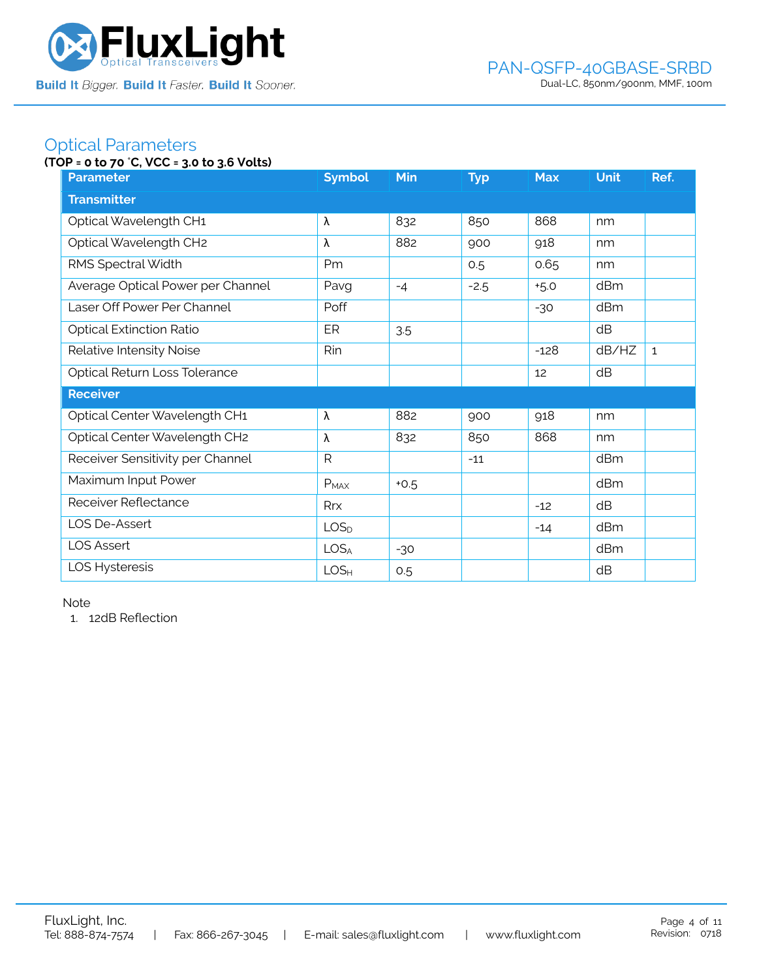

## Optical Parameters

## **(TOP = 0 to 70** °**C, VCC = 3.0 to 3.6 Volts)**

| <b>Parameter</b>                  | <b>Symbol</b>    | <b>Min</b> | <b>Typ</b> | <b>Max</b> | <b>Unit</b> | Ref.         |
|-----------------------------------|------------------|------------|------------|------------|-------------|--------------|
| <b>Transmitter</b>                |                  |            |            |            |             |              |
| Optical Wavelength CH1            | λ                | 832        | 850        | 868        | nm          |              |
| Optical Wavelength CH2            | λ                | 882        | 900        | 918        | nm          |              |
| RMS Spectral Width                | Pm               |            | 0.5        | 0.65       | nm          |              |
| Average Optical Power per Channel | Pavg             | $-4$       | $-2.5$     | $+5.0$     | dBm         |              |
| Laser Off Power Per Channel       | Poff             |            |            | $-30$      | dBm         |              |
| <b>Optical Extinction Ratio</b>   | ER               | 3.5        |            |            | dB          |              |
| Relative Intensity Noise          | Rin              |            |            | $-128$     | dB/HZ       | $\mathbf{1}$ |
| Optical Return Loss Tolerance     |                  |            |            | 12         | dB          |              |
| <b>Receiver</b>                   |                  |            |            |            |             |              |
| Optical Center Wavelength CH1     | λ                | 882        | 900        | 918        | nm          |              |
| Optical Center Wavelength CH2     | λ                | 832        | 850        | 868        | nm          |              |
| Receiver Sensitivity per Channel  | $\mathsf{R}$     |            | $-11$      |            | dBm         |              |
| Maximum Input Power               | $P_{MAX}$        | $+0.5$     |            |            | dBm         |              |
| Receiver Reflectance              | Rrx              |            |            | $-12$      | dB          |              |
| LOS De-Assert                     | LOS <sub>D</sub> |            |            | $-14$      | dBm         |              |
| <b>LOS Assert</b>                 | LOS <sub>A</sub> | $-30$      |            |            | dBm         |              |
| LOS Hysteresis                    | LOS <sub>H</sub> | 0.5        |            |            | dB          |              |

Note

1. 12dB Reflection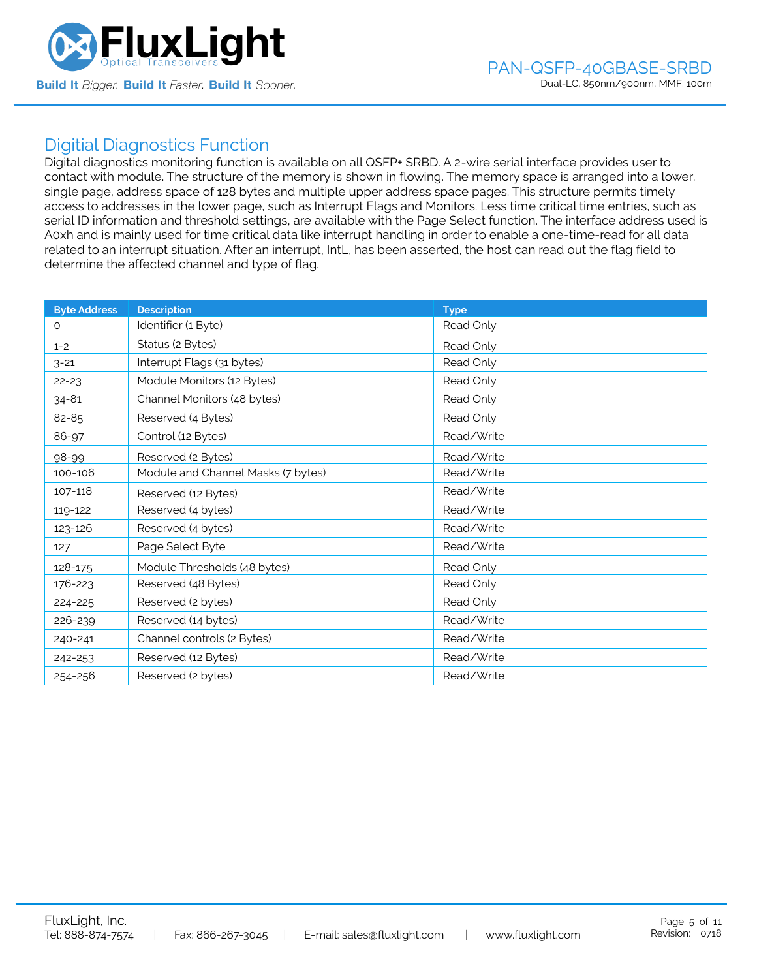

## Digitial Diagnostics Function

Digital diagnostics monitoring function is available on all QSFP+ SRBD. A 2-wire serial interface provides user to contact with module. The structure of the memory is shown in flowing. The memory space is arranged into a lower, single page, address space of 128 bytes and multiple upper address space pages. This structure permits timely access to addresses in the lower page, such as Interrupt Flags and Monitors. Less time critical time entries, such as serial ID information and threshold settings, are available with the Page Select function. The interface address used is A0xh and is mainly used for time critical data like interrupt handling in order to enable a one-time-read for all data related to an interrupt situation. After an interrupt, IntL, has been asserted, the host can read out the flag field to determine the affected channel and type of flag.

| <b>Byte Address</b> | <b>Description</b>                 | <b>Type</b> |
|---------------------|------------------------------------|-------------|
| $\Omega$            | Identifier (1 Byte)                | Read Only   |
| $1 - 2$             | Status (2 Bytes)                   | Read Only   |
| $3 - 21$            | Interrupt Flags (31 bytes)         | Read Only   |
| $22 - 23$           | Module Monitors (12 Bytes)         | Read Only   |
| $34 - 81$           | Channel Monitors (48 bytes)        | Read Only   |
| 82-85               | Reserved (4 Bytes)                 | Read Only   |
| 86-97               | Control (12 Bytes)                 | Read/Write  |
| 98-99               | Reserved (2 Bytes)                 | Read/Write  |
| 100-106             | Module and Channel Masks (7 bytes) | Read/Write  |
| 107-118             | Reserved (12 Bytes)                | Read/Write  |
| 119-122             | Reserved (4 bytes)                 | Read/Write  |
| 123-126             | Reserved (4 bytes)                 | Read/Write  |
| 127                 | Page Select Byte                   | Read/Write  |
| 128-175             | Module Thresholds (48 bytes)       | Read Only   |
| 176-223             | Reserved (48 Bytes)                | Read Only   |
| 224-225             | Reserved (2 bytes)                 | Read Only   |
| 226-239             | Reserved (14 bytes)                | Read/Write  |
| 240-241             | Channel controls (2 Bytes)         | Read/Write  |
| 242-253             | Reserved (12 Bytes)                | Read/Write  |
| 254-256             | Reserved (2 bytes)                 | Read/Write  |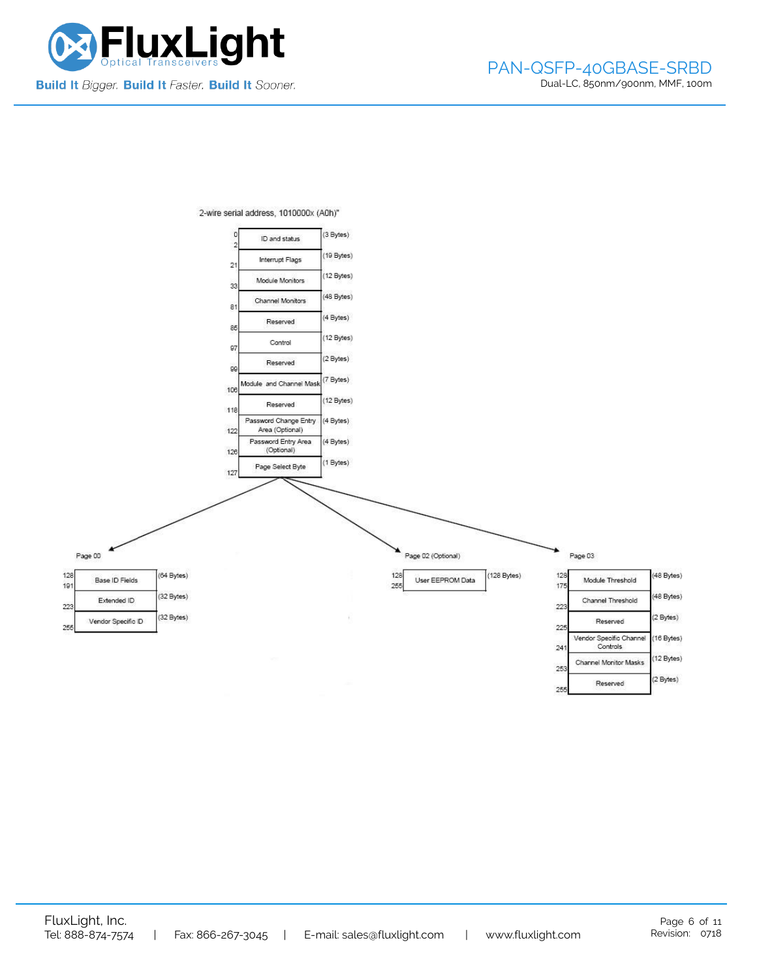



2-wire serial address, 1010000x (A0h)"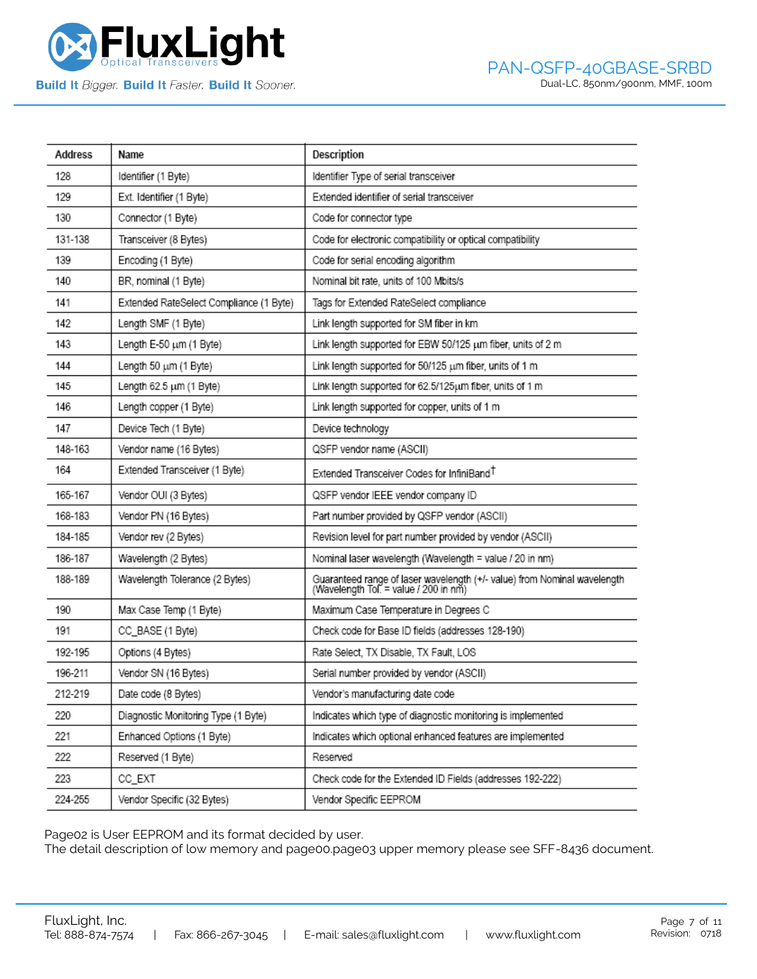

| <b>Address</b> | Name                                    | Description                                                                                                       |
|----------------|-----------------------------------------|-------------------------------------------------------------------------------------------------------------------|
| 128            | Identifier (1 Byte)                     | Identifier Type of serial transceiver                                                                             |
| 129            | Ext. Identifier (1 Byte)                | Extended identifier of serial transceiver                                                                         |
| 130            | Connector (1 Byte)                      | Code for connector type                                                                                           |
| 131-138        | Transceiver (8 Bytes)                   | Code for electronic compatibility or optical compatibility                                                        |
| 139            | Encoding (1 Byte)                       | Code for serial encoding algorithm                                                                                |
| 140            | BR, nominal (1 Byte)                    | Nominal bit rate, units of 100 Mbits/s                                                                            |
| 141            | Extended RateSelect Compliance (1 Byte) | Tags for Extended RateSelect compliance                                                                           |
| 142            | Length SMF (1 Byte)                     | Link length supported for SM fiber in km                                                                          |
| 143            | Length E-50 um (1 Byte)                 | Link length supported for EBW 50/125 um fiber, units of 2 m                                                       |
| 144            | Length 50 um (1 Byte)                   | Link length supported for 50/125 um fiber, units of 1 m                                                           |
| 145            | Length 62.5 um (1 Byte)                 | Link length supported for 62.5/125um fiber, units of 1 m                                                          |
| 146            | Length copper (1 Byte)                  | Link length supported for copper, units of 1 m                                                                    |
| 147            | Device Tech (1 Byte)                    | Device technology                                                                                                 |
| 148-163        | Vendor name (16 Bytes)                  | QSFP vendor name (ASCII)                                                                                          |
| 164            | Extended Transceiver (1 Byte)           | Extended Transceiver Codes for InfiniBand <sup>T</sup>                                                            |
| 165-167        | Vendor OUI (3 Bytes)                    | QSFP vendor IEEE vendor company ID                                                                                |
| 168-183        | Vendor PN (16 Bytes)                    | Part number provided by QSFP vendor (ASCII)                                                                       |
| 184-185        | Vendor rev (2 Bytes)                    | Revision level for part number provided by vendor (ASCII)                                                         |
| 186-187        | Wavelength (2 Bytes)                    | Nominal laser wavelength (Wavelength = value / 20 in nm)                                                          |
| 188-189        | Wavelength Tolerance (2 Bytes)          | Guaranteed range of laser wavelength (+/- value) from Nominal wavelength<br>(Wavelength Tol. = value / 200 in nm) |
| 190            | Max Case Temp (1 Byte)                  | Maximum Case Temperature in Degrees C                                                                             |
| 191            | CC_BASE (1 Byte)                        | Check code for Base ID fields (addresses 128-190)                                                                 |
| 192-195        | Options (4 Bytes)                       | Rate Select, TX Disable, TX Fault, LOS                                                                            |
| 196-211        | Vendor SN (16 Bytes)                    | Serial number provided by vendor (ASCII)                                                                          |
| 212-219        | Date code (8 Bytes)                     | Vendor's manufacturing date code                                                                                  |
| 220            | Diagnostic Monitoring Type (1 Byte)     | Indicates which type of diagnostic monitoring is implemented                                                      |
| 221            | Enhanced Options (1 Byte)               | Indicates which optional enhanced features are implemented                                                        |
| 222            | Reserved (1 Byte)                       | Reserved                                                                                                          |
| 223            | CC_EXT                                  | Check code for the Extended ID Fields (addresses 192-222)                                                         |
| 224-255        | Vendor Specific (32 Bytes)              | Vendor Specific EEPROM                                                                                            |

Page02 is User EEPROM and its format decided by user.

The detail description of low memory and page00.page03 upper memory please see SFF-8436 document.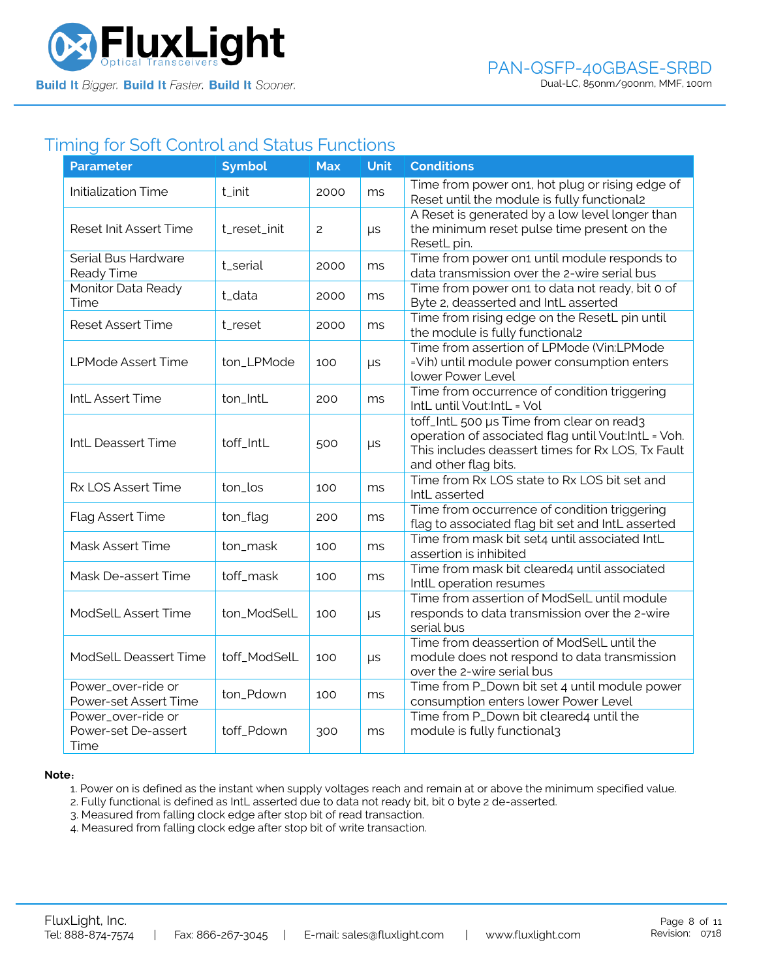

## Timing for Soft Control and Status Functions

| <b>Parameter</b>                                  | <b>Symbol</b> | <b>Max</b>     | <b>Unit</b> | <b>Conditions</b>                                                                                                                                                             |
|---------------------------------------------------|---------------|----------------|-------------|-------------------------------------------------------------------------------------------------------------------------------------------------------------------------------|
| <b>Initialization Time</b>                        | t_init        | 2000           | ms          | Time from power on1, hot plug or rising edge of<br>Reset until the module is fully functional2                                                                                |
| Reset Init Assert Time                            | t_reset_init  | $\overline{c}$ | $\mu s$     | A Reset is generated by a low level longer than<br>the minimum reset pulse time present on the<br>ResetL pin.                                                                 |
| Serial Bus Hardware<br>Ready Time                 | t_serial      | 2000           | ms          | Time from power on1 until module responds to<br>data transmission over the 2-wire serial bus                                                                                  |
| Monitor Data Ready<br>Time                        | t_data        | 2000           | ms          | Time from power on1 to data not ready, bit 0 of<br>Byte 2, deasserted and IntL asserted                                                                                       |
| <b>Reset Assert Time</b>                          | t_reset       | 2000           | ms          | Time from rising edge on the ResetL pin until<br>the module is fully functional2                                                                                              |
| <b>LPMode Assert Time</b>                         | ton_LPMode    | 100            | $\mu s$     | Time from assertion of LPMode (Vin:LPMode<br>=Vih) until module power consumption enters<br>lower Power Level                                                                 |
| IntL Assert Time                                  | ton_IntL      | 200            | ms          | Time from occurrence of condition triggering<br>IntL until Vout:IntL = Vol                                                                                                    |
| IntL Deassert Time                                | toff_IntL     | 500            | $\mu s$     | toff_IntL 500 µs Time from clear on read3<br>operation of associated flag until Vout:IntL = Voh.<br>This includes deassert times for Rx LOS, Tx Fault<br>and other flag bits. |
| Rx LOS Assert Time                                | ton_los       | 100            | ms          | Time from Rx LOS state to Rx LOS bit set and<br>IntL asserted                                                                                                                 |
| <b>Flag Assert Time</b>                           | ton_flag      | 200            | ms          | Time from occurrence of condition triggering<br>flag to associated flag bit set and IntL asserted                                                                             |
| Mask Assert Time                                  | ton_mask      | 100            | ms          | Time from mask bit set4 until associated IntL<br>assertion is inhibited                                                                                                       |
| Mask De-assert Time                               | toff_mask     | 100            | ms          | Time from mask bit cleared4 until associated<br>IntlL operation resumes                                                                                                       |
| ModSelL Assert Time                               | ton_ModSelL   | 100            | $\mu s$     | Time from assertion of ModSelL until module<br>responds to data transmission over the 2-wire<br>serial bus                                                                    |
| ModSelL Deassert Time                             | toff_ModSelL  | 100            | $\mu s$     | Time from deassertion of ModSelL until the<br>module does not respond to data transmission<br>over the 2-wire serial bus                                                      |
| Power_over-ride or<br>Power-set Assert Time       | ton_Pdown     | 100            | ms          | Time from P_Down bit set 4 until module power<br>consumption enters lower Power Level                                                                                         |
| Power_over-ride or<br>Power-set De-assert<br>Time | toff_Pdown    | 300            | ms          | Time from P_Down bit cleared4 until the<br>module is fully functional3                                                                                                        |

#### **Note**:

1. Power on is defined as the instant when supply voltages reach and remain at or above the minimum specified value.

- 2. Fully functional is defined as IntL asserted due to data not ready bit, bit 0 byte 2 de-asserted.
- 3. Measured from falling clock edge after stop bit of read transaction.
- 4. Measured from falling clock edge after stop bit of write transaction.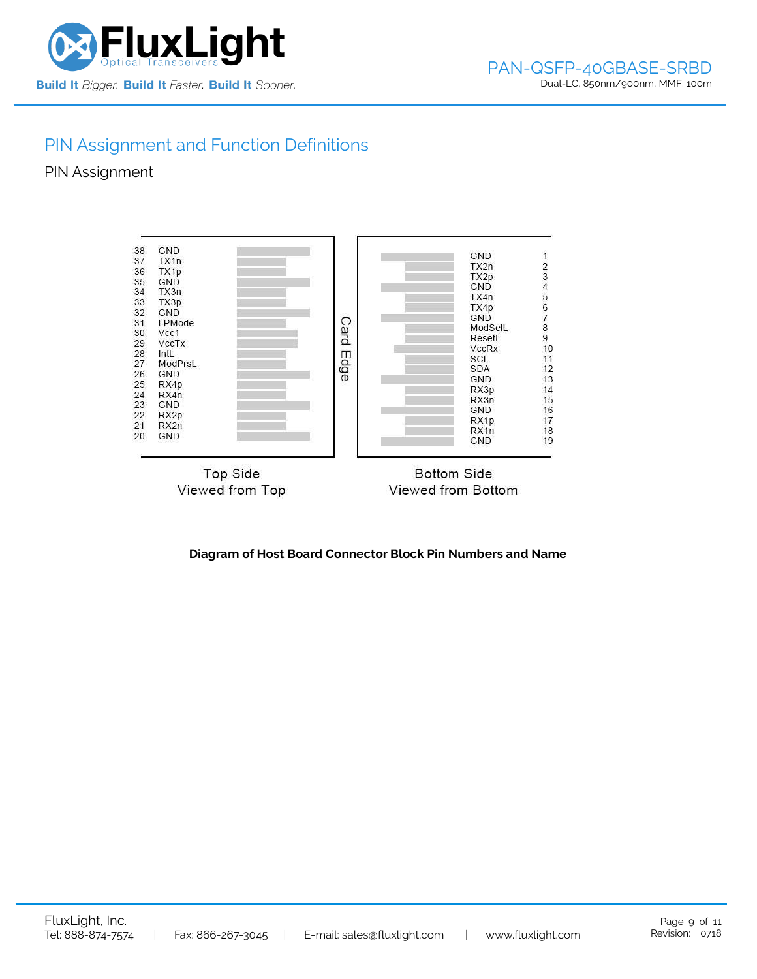

## PIN Assignment and Function Definitions

PIN Assignment



**Diagram of Host Board Connector Block Pin Numbers and Name**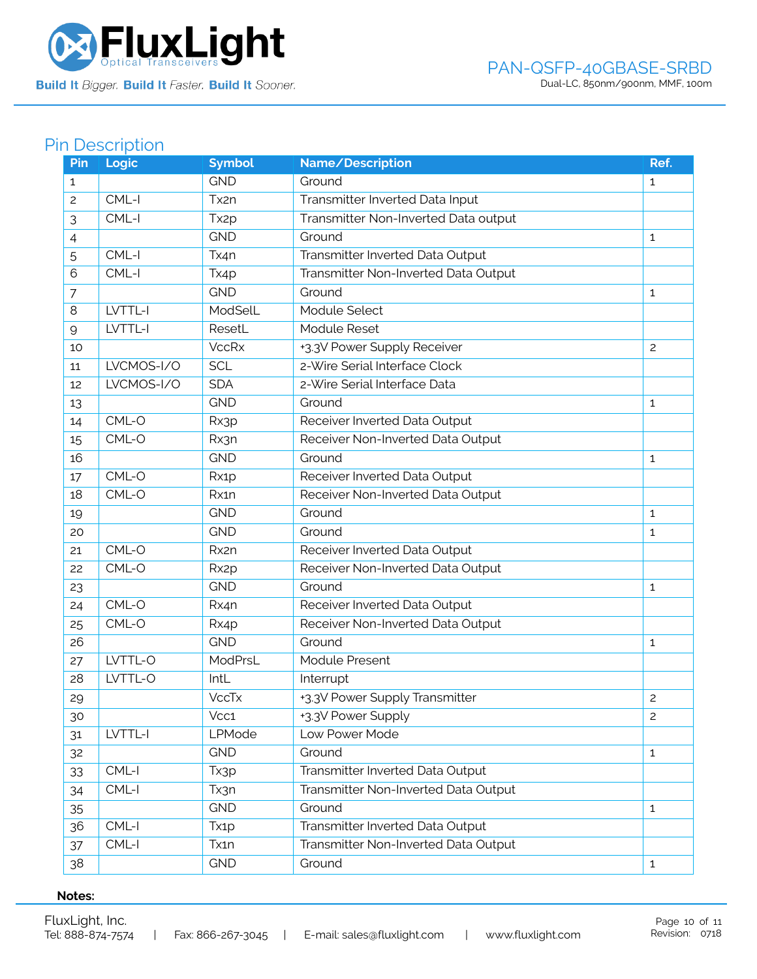

# Pin Description

| Pin            | Logic      | <b>Symbol</b>     | Name/Description                     | Ref.           |
|----------------|------------|-------------------|--------------------------------------|----------------|
| $\mathbf{1}$   |            | <b>GND</b>        | Ground                               | $\mathbf{1}$   |
| $\overline{c}$ | $CML-I$    | Tx2n              | Transmitter Inverted Data Input      |                |
| 3              | $CML-I$    | Tx <sub>2p</sub>  | Transmitter Non-Inverted Data output |                |
| 4              |            | <b>GND</b>        | Ground                               | $\mathbf{1}$   |
| 5              | CML-I      | Tx4n              | Transmitter Inverted Data Output     |                |
| 6              | CML-I      | Tx4p              | Transmitter Non-Inverted Data Output |                |
| $\overline{7}$ |            | <b>GND</b>        | Ground                               | $\mathbf{1}$   |
| 8              | LVTTL-I    | ModSelL           | Module Select                        |                |
| 9              | LVTTL-I    | ResetL            | Module Reset                         |                |
| 10             |            | <b>VccRx</b>      | +3.3V Power Supply Receiver          | $\mathbf{2}$   |
| 11             | LVCMOS-I/O | <b>SCL</b>        | 2-Wire Serial Interface Clock        |                |
| 12             | LVCMOS-I/O | <b>SDA</b>        | 2-Wire Serial Interface Data         |                |
| 13             |            | <b>GND</b>        | Ground                               | $\mathbf{1}$   |
| 14             | CML-O      | Rx3p              | Receiver Inverted Data Output        |                |
| 15             | CML-O      | Rx3n              | Receiver Non-Inverted Data Output    |                |
| 16             |            | <b>GND</b>        | Ground                               | $\mathbf{1}$   |
| 17             | CML-O      | Rx1p              | Receiver Inverted Data Output        |                |
| 18             | CML-O      | Rx1n              | Receiver Non-Inverted Data Output    |                |
| 19             |            | <b>GND</b>        | Ground                               | $\mathbf{1}$   |
| 20             |            | <b>GND</b>        | Ground                               | 1              |
| 21             | CML-O      | Rx2n              | Receiver Inverted Data Output        |                |
| 22             | CML-O      | Rx <sub>2</sub> p | Receiver Non-Inverted Data Output    |                |
| 23             |            | <b>GND</b>        | Ground                               | 1              |
| 24             | CML-O      | Rx4n              | Receiver Inverted Data Output        |                |
| 25             | CML-O      | Rx4p              | Receiver Non-Inverted Data Output    |                |
| 26             |            | <b>GND</b>        | Ground                               | $\mathbf{1}$   |
| 27             | LVTTL-O    | ModPrsL           | Module Present                       |                |
| 28             | LVTTL-O    | IntL              | Interrupt                            |                |
| 29             |            | <b>VccTx</b>      | +3.3V Power Supply Transmitter       | $\overline{c}$ |
| 30             |            | Vcc1              | +3.3V Power Supply                   | 2              |
| 31             | LVTTL-I    | LPMode            | Low Power Mode                       |                |
| 32             |            | <b>GND</b>        | Ground                               | $\mathbf{1}$   |
| 33             | $CML-I$    | Tx3p              | Transmitter Inverted Data Output     |                |
| 34             | CML-I      | Tx3n              | Transmitter Non-Inverted Data Output |                |
| 35             |            | <b>GND</b>        | Ground                               | $\mathbf{1}$   |
| 36             | CML-I      | Tx1p              | Transmitter Inverted Data Output     |                |
| 37             | CML-I      | Tx1n              | Transmitter Non-Inverted Data Output |                |
| 38             |            | <b>GND</b>        | Ground                               | $\mathbf{1}$   |

## **Notes:**